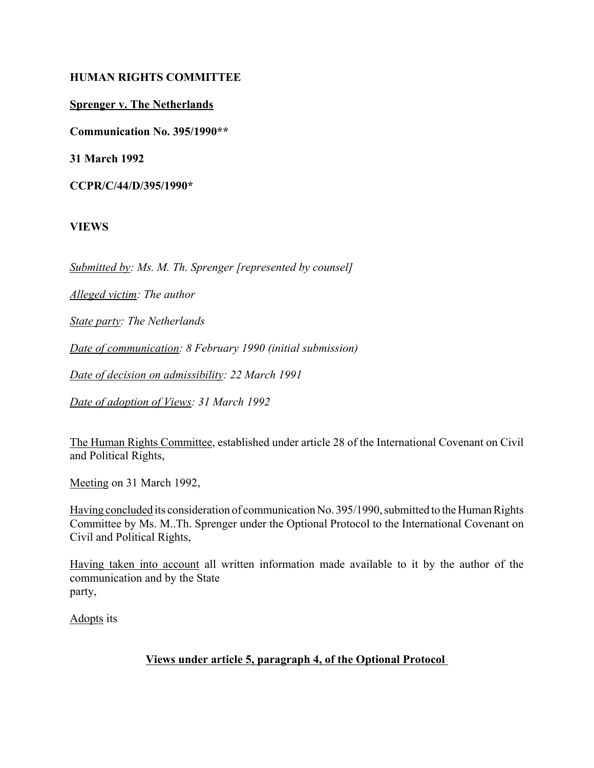#### **HUMAN RIGHTS COMMITTEE**

#### **Sprenger v. The Netherlands**

**Communication No. 395/1990\*\***

**31 March 1992**

**CCPR/C/44/D/395/1990\***

**VIEWS**

*Submitted by: Ms. M. Th. Sprenger [represented by counsel]* 

*Alleged victim: The author*

*State party: The Netherlands*

*Date of communication: 8 February 1990 (initial submission)*

*Date of decision on admissibility: 22 March 1991*

*Date of adoption of Views: 31 March 1992* 

The Human Rights Committee, established under article 28 of the International Covenant on Civil and Political Rights,

Meeting on 31 March 1992,

Having concluded its consideration of communication No. 395/1990, submitted to the Human Rights Committee by Ms. M..Th. Sprenger under the Optional Protocol to the International Covenant on Civil and Political Rights,

Having taken into account all written information made available to it by the author of the communication and by the State party,

Adopts its

# **Views under article 5, paragraph 4, of the Optional Protocol**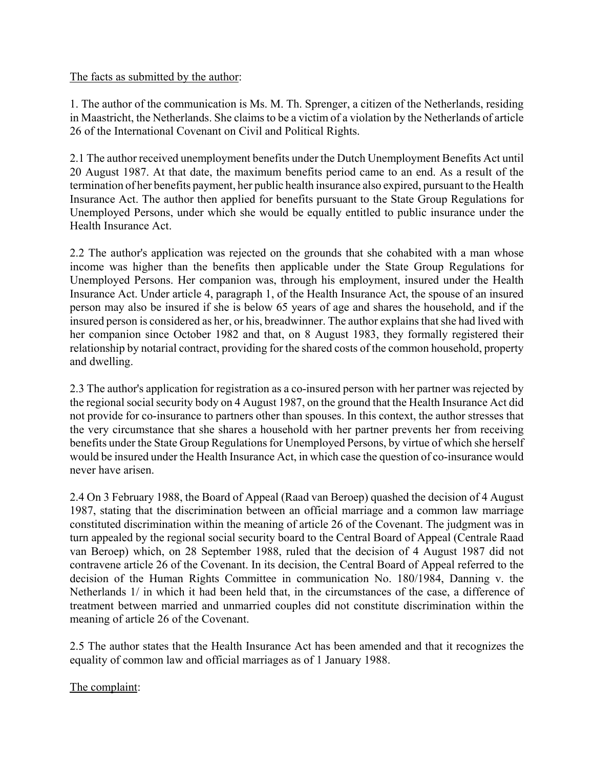#### The facts as submitted by the author:

1. The author of the communication is Ms. M. Th. Sprenger, a citizen of the Netherlands, residing in Maastricht, the Netherlands. She claims to be a victim of a violation by the Netherlands of article 26 of the International Covenant on Civil and Political Rights.

2.1 The author received unemployment benefits under the Dutch Unemployment Benefits Act until 20 August 1987. At that date, the maximum benefits period came to an end. As a result of the termination of her benefits payment, her public health insurance also expired, pursuant to the Health Insurance Act. The author then applied for benefits pursuant to the State Group Regulations for Unemployed Persons, under which she would be equally entitled to public insurance under the Health Insurance Act.

2.2 The author's application was rejected on the grounds that she cohabited with a man whose income was higher than the benefits then applicable under the State Group Regulations for Unemployed Persons. Her companion was, through his employment, insured under the Health Insurance Act. Under article 4, paragraph 1, of the Health Insurance Act, the spouse of an insured person may also be insured if she is below 65 years of age and shares the household, and if the insured person is considered as her, or his, breadwinner. The author explains that she had lived with her companion since October 1982 and that, on 8 August 1983, they formally registered their relationship by notarial contract, providing for the shared costs of the common household, property and dwelling.

2.3 The author's application for registration as a co-insured person with her partner was rejected by the regional social security body on 4 August 1987, on the ground that the Health Insurance Act did not provide for co-insurance to partners other than spouses. In this context, the author stresses that the very circumstance that she shares a household with her partner prevents her from receiving benefits under the State Group Regulations for Unemployed Persons, by virtue of which she herself would be insured under the Health Insurance Act, in which case the question of co-insurance would never have arisen.

2.4 On 3 February 1988, the Board of Appeal (Raad van Beroep) quashed the decision of 4 August 1987, stating that the discrimination between an official marriage and a common law marriage constituted discrimination within the meaning of article 26 of the Covenant. The judgment was in turn appealed by the regional social security board to the Central Board of Appeal (Centrale Raad van Beroep) which, on 28 September 1988, ruled that the decision of 4 August 1987 did not contravene article 26 of the Covenant. In its decision, the Central Board of Appeal referred to the decision of the Human Rights Committee in communication No. 180/1984, Danning v. the Netherlands 1/ in which it had been held that, in the circumstances of the case, a difference of treatment between married and unmarried couples did not constitute discrimination within the meaning of article 26 of the Covenant.

2.5 The author states that the Health Insurance Act has been amended and that it recognizes the equality of common law and official marriages as of 1 January 1988.

The complaint: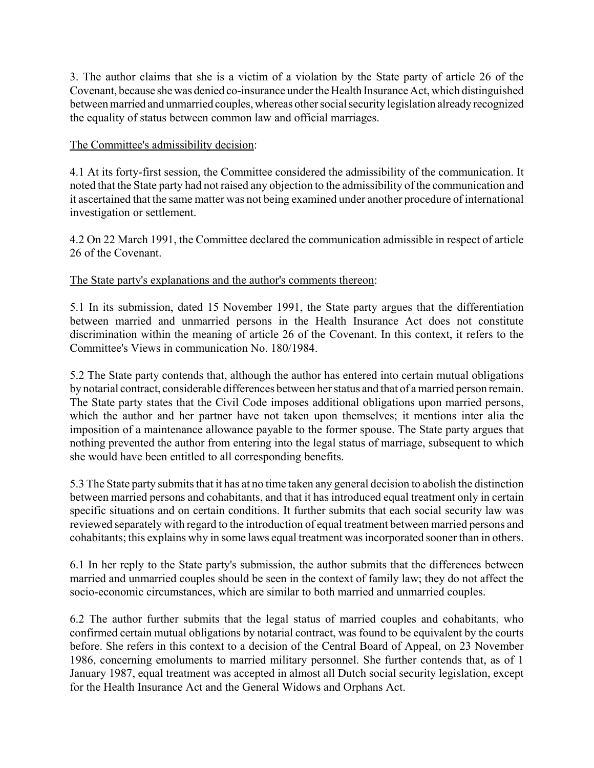3. The author claims that she is a victim of a violation by the State party of article 26 of the Covenant, because she was denied co-insurance under the Health Insurance Act, which distinguished between married and unmarried couples, whereas other social security legislation already recognized the equality of status between common law and official marriages.

# The Committee's admissibility decision:

4.1 At its forty-first session, the Committee considered the admissibility of the communication. It noted that the State party had not raised any objection to the admissibility of the communication and it ascertained that the same matter was not being examined under another procedure of international investigation or settlement.

4.2 On 22 March 1991, the Committee declared the communication admissible in respect of article 26 of the Covenant.

# The State party's explanations and the author's comments thereon:

5.1 In its submission, dated 15 November 1991, the State party argues that the differentiation between married and unmarried persons in the Health Insurance Act does not constitute discrimination within the meaning of article 26 of the Covenant. In this context, it refers to the Committee's Views in communication No. 180/1984.

5.2 The State party contends that, although the author has entered into certain mutual obligations by notarial contract, considerable differences between her status and that of a married person remain. The State party states that the Civil Code imposes additional obligations upon married persons, which the author and her partner have not taken upon themselves; it mentions inter alia the imposition of a maintenance allowance payable to the former spouse. The State party argues that nothing prevented the author from entering into the legal status of marriage, subsequent to which she would have been entitled to all corresponding benefits.

5.3 The State party submits that it has at no time taken any general decision to abolish the distinction between married persons and cohabitants, and that it has introduced equal treatment only in certain specific situations and on certain conditions. It further submits that each social security law was reviewed separately with regard to the introduction of equal treatment between married persons and cohabitants; this explains why in some laws equal treatment was incorporated sooner than in others.

6.1 In her reply to the State party's submission, the author submits that the differences between married and unmarried couples should be seen in the context of family law; they do not affect the socio-economic circumstances, which are similar to both married and unmarried couples.

6.2 The author further submits that the legal status of married couples and cohabitants, who confirmed certain mutual obligations by notarial contract, was found to be equivalent by the courts before. She refers in this context to a decision of the Central Board of Appeal, on 23 November 1986, concerning emoluments to married military personnel. She further contends that, as of 1 January 1987, equal treatment was accepted in almost all Dutch social security legislation, except for the Health Insurance Act and the General Widows and Orphans Act.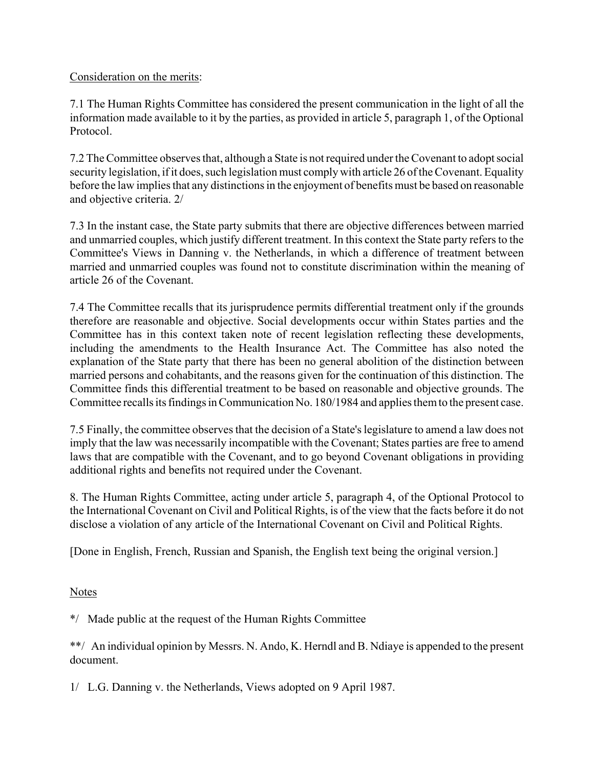# Consideration on the merits:

7.1 The Human Rights Committee has considered the present communication in the light of all the information made available to it by the parties, as provided in article 5, paragraph 1, of the Optional Protocol.

7.2 The Committee observes that, although a State is not required under the Covenant to adopt social security legislation, if it does, such legislation must comply with article 26 of the Covenant. Equality before the law implies that any distinctions in the enjoyment of benefits must be based on reasonable and objective criteria. 2/

7.3 In the instant case, the State party submits that there are objective differences between married and unmarried couples, which justify different treatment. In this context the State party refers to the Committee's Views in Danning v. the Netherlands, in which a difference of treatment between married and unmarried couples was found not to constitute discrimination within the meaning of article 26 of the Covenant.

7.4 The Committee recalls that its jurisprudence permits differential treatment only if the grounds therefore are reasonable and objective. Social developments occur within States parties and the Committee has in this context taken note of recent legislation reflecting these developments, including the amendments to the Health Insurance Act. The Committee has also noted the explanation of the State party that there has been no general abolition of the distinction between married persons and cohabitants, and the reasons given for the continuation of this distinction. The Committee finds this differential treatment to be based on reasonable and objective grounds. The Committee recalls its findings in Communication No. 180/1984 and applies them to the present case.

7.5 Finally, the committee observes that the decision of a State's legislature to amend a law does not imply that the law was necessarily incompatible with the Covenant; States parties are free to amend laws that are compatible with the Covenant, and to go beyond Covenant obligations in providing additional rights and benefits not required under the Covenant.

8. The Human Rights Committee, acting under article 5, paragraph 4, of the Optional Protocol to the International Covenant on Civil and Political Rights, is of the view that the facts before it do not disclose a violation of any article of the International Covenant on Civil and Political Rights.

[Done in English, French, Russian and Spanish, the English text being the original version.]

# Notes

\*/ Made public at the request of the Human Rights Committee

\*\*/ An individual opinion by Messrs. N. Ando, K. Herndl and B. Ndiaye is appended to the present document.

1/ L.G. Danning v. the Netherlands, Views adopted on 9 April 1987.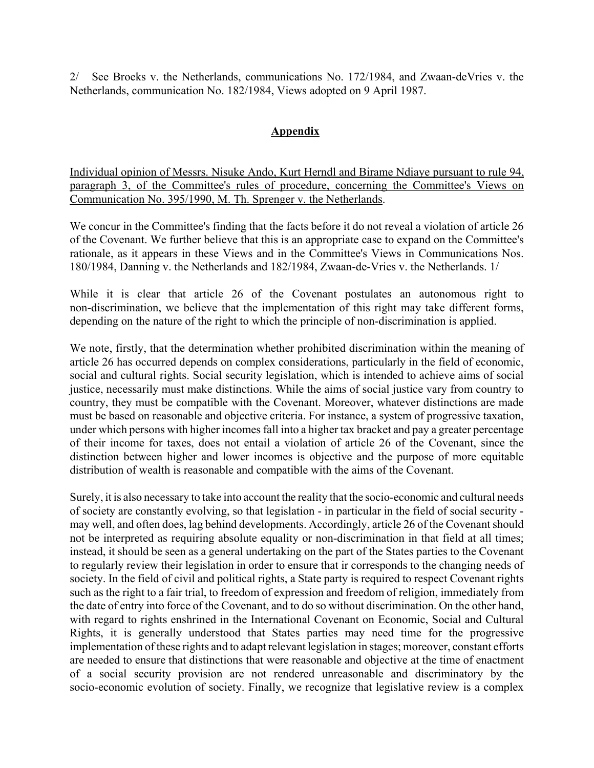2/ See Broeks v. the Netherlands, communications No. 172/1984, and Zwaan-deVries v. the Netherlands, communication No. 182/1984, Views adopted on 9 April 1987.

# **Appendix**

Individual opinion of Messrs. Nisuke Ando, Kurt Herndl and Birame Ndiaye pursuant to rule 94, paragraph 3, of the Committee's rules of procedure, concerning the Committee's Views on Communication No. 395/1990, M. Th. Sprenger v. the Netherlands.

We concur in the Committee's finding that the facts before it do not reveal a violation of article 26 of the Covenant. We further believe that this is an appropriate case to expand on the Committee's rationale, as it appears in these Views and in the Committee's Views in Communications Nos. 180/1984, Danning v. the Netherlands and 182/1984, Zwaan-de-Vries v. the Netherlands. 1/

While it is clear that article 26 of the Covenant postulates an autonomous right to non-discrimination, we believe that the implementation of this right may take different forms, depending on the nature of the right to which the principle of non-discrimination is applied.

We note, firstly, that the determination whether prohibited discrimination within the meaning of article 26 has occurred depends on complex considerations, particularly in the field of economic, social and cultural rights. Social security legislation, which is intended to achieve aims of social justice, necessarily must make distinctions. While the aims of social justice vary from country to country, they must be compatible with the Covenant. Moreover, whatever distinctions are made must be based on reasonable and objective criteria. For instance, a system of progressive taxation, under which persons with higher incomes fall into a higher tax bracket and pay a greater percentage of their income for taxes, does not entail a violation of article 26 of the Covenant, since the distinction between higher and lower incomes is objective and the purpose of more equitable distribution of wealth is reasonable and compatible with the aims of the Covenant.

Surely, it is also necessary to take into account the reality that the socio-economic and cultural needs of society are constantly evolving, so that legislation - in particular in the field of social security may well, and often does, lag behind developments. Accordingly, article 26 of the Covenant should not be interpreted as requiring absolute equality or non-discrimination in that field at all times; instead, it should be seen as a general undertaking on the part of the States parties to the Covenant to regularly review their legislation in order to ensure that ir corresponds to the changing needs of society. In the field of civil and political rights, a State party is required to respect Covenant rights such as the right to a fair trial, to freedom of expression and freedom of religion, immediately from the date of entry into force of the Covenant, and to do so without discrimination. On the other hand, with regard to rights enshrined in the International Covenant on Economic, Social and Cultural Rights, it is generally understood that States parties may need time for the progressive implementation of these rights and to adapt relevant legislation in stages; moreover, constant efforts are needed to ensure that distinctions that were reasonable and objective at the time of enactment of a social security provision are not rendered unreasonable and discriminatory by the socio-economic evolution of society. Finally, we recognize that legislative review is a complex